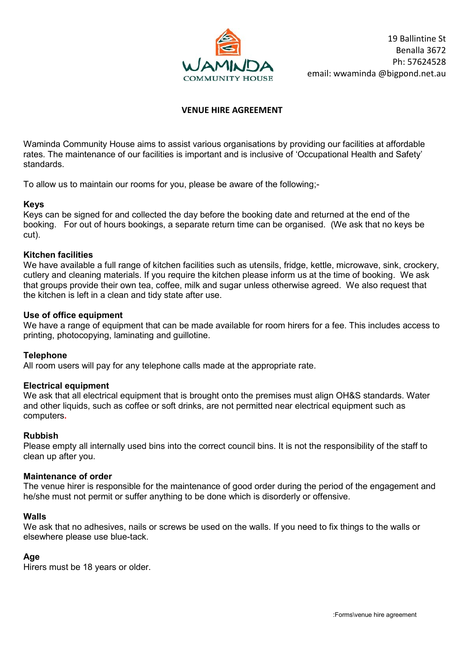

## **VENUE HIRE AGREEMENT**

Waminda Community House aims to assist various organisations by providing our facilities at affordable rates. The maintenance of our facilities is important and is inclusive of 'Occupational Health and Safety' standards.

To allow us to maintain our rooms for you, please be aware of the following;-

#### **Keys**

Keys can be signed for and collected the day before the booking date and returned at the end of the booking. For out of hours bookings, a separate return time can be organised. (We ask that no keys be cut).

#### **Kitchen facilities**

We have available a full range of kitchen facilities such as utensils, fridge, kettle, microwave, sink, crockery, cutlery and cleaning materials. If you require the kitchen please inform us at the time of booking. We ask that groups provide their own tea, coffee, milk and sugar unless otherwise agreed. We also request that the kitchen is left in a clean and tidy state after use.

#### **Use of office equipment**

We have a range of equipment that can be made available for room hirers for a fee. This includes access to printing, photocopying, laminating and guillotine.

#### **Telephone**

All room users will pay for any telephone calls made at the appropriate rate.

#### **Electrical equipment**

We ask that all electrical equipment that is brought onto the premises must align OH&S standards. Water and other liquids, such as coffee or soft drinks, are not permitted near electrical equipment such as computers**.**

#### **Rubbish**

Please empty all internally used bins into the correct council bins. It is not the responsibility of the staff to clean up after you.

#### **Maintenance of order**

The venue hirer is responsible for the maintenance of good order during the period of the engagement and he/she must not permit or suffer anything to be done which is disorderly or offensive.

#### **Walls**

We ask that no adhesives, nails or screws be used on the walls. If you need to fix things to the walls or elsewhere please use blue-tack.

#### **Age**

Hirers must be 18 years or older.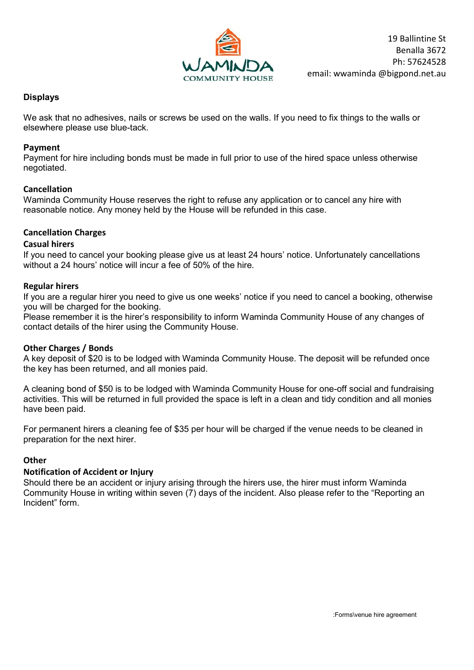

## **Displays**

We ask that no adhesives, nails or screws be used on the walls. If you need to fix things to the walls or elsewhere please use blue-tack.

## **Payment**

Payment for hire including bonds must be made in full prior to use of the hired space unless otherwise negotiated.

## **Cancellation**

Waminda Community House reserves the right to refuse any application or to cancel any hire with reasonable notice. Any money held by the House will be refunded in this case.

# **Cancellation Charges**

## **Casual hirers**

If you need to cancel your booking please give us at least 24 hours' notice. Unfortunately cancellations without a 24 hours' notice will incur a fee of 50% of the hire.

## **Regular hirers**

If you are a regular hirer you need to give us one weeks' notice if you need to cancel a booking, otherwise you will be charged for the booking.

Please remember it is the hirer's responsibility to inform Waminda Community House of any changes of contact details of the hirer using the Community House.

## **Other Charges / Bonds**

A key deposit of \$20 is to be lodged with Waminda Community House. The deposit will be refunded once the key has been returned, and all monies paid.

A cleaning bond of \$50 is to be lodged with Waminda Community House for one-off social and fundraising activities. This will be returned in full provided the space is left in a clean and tidy condition and all monies have been paid.

For permanent hirers a cleaning fee of \$35 per hour will be charged if the venue needs to be cleaned in preparation for the next hirer.

## **Other**

## **Notification of Accident or Injury**

Should there be an accident or injury arising through the hirers use, the hirer must inform Waminda Community House in writing within seven (7) days of the incident. Also please refer to the "Reporting an Incident" form.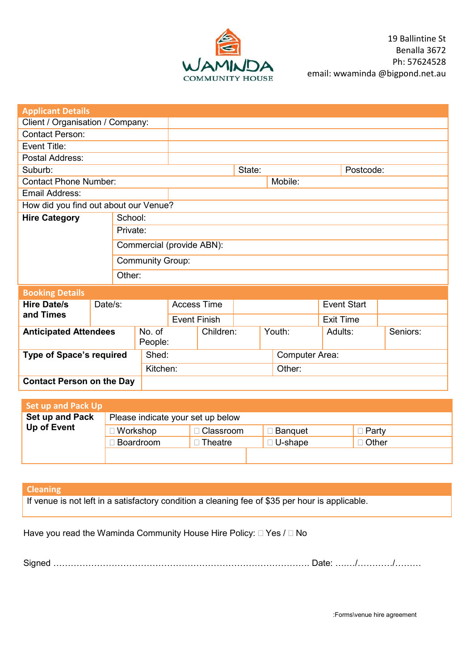

| <b>Applicant Details</b>                   |  |                         |                           |                     |                                   |  |        |                |                    |                  |  |
|--------------------------------------------|--|-------------------------|---------------------------|---------------------|-----------------------------------|--|--------|----------------|--------------------|------------------|--|
| Client / Organisation / Company:           |  |                         |                           |                     |                                   |  |        |                |                    |                  |  |
| <b>Contact Person:</b>                     |  |                         |                           |                     |                                   |  |        |                |                    |                  |  |
| Event Title:                               |  |                         |                           |                     |                                   |  |        |                |                    |                  |  |
| Postal Address:                            |  |                         |                           |                     |                                   |  |        |                |                    |                  |  |
| Suburb:                                    |  |                         |                           | State:              |                                   |  |        |                |                    | Postcode:        |  |
| <b>Contact Phone Number:</b>               |  |                         |                           |                     |                                   |  |        | Mobile:        |                    |                  |  |
| Email Address:                             |  |                         |                           |                     |                                   |  |        |                |                    |                  |  |
| How did you find out about our Venue?      |  |                         |                           |                     |                                   |  |        |                |                    |                  |  |
| <b>Hire Category</b><br>School:            |  |                         |                           |                     |                                   |  |        |                |                    |                  |  |
|                                            |  |                         | Private:                  |                     |                                   |  |        |                |                    |                  |  |
|                                            |  |                         | Commercial (provide ABN): |                     |                                   |  |        |                |                    |                  |  |
|                                            |  |                         |                           |                     |                                   |  |        |                |                    |                  |  |
|                                            |  | <b>Community Group:</b> |                           |                     |                                   |  |        |                |                    |                  |  |
|                                            |  |                         | Other:                    |                     |                                   |  |        |                |                    |                  |  |
| <b>Booking Details</b>                     |  |                         |                           |                     |                                   |  |        |                |                    |                  |  |
| <b>Hire Date/s</b><br>Date/s:<br>and Times |  |                         | <b>Access Time</b>        |                     |                                   |  |        |                | <b>Event Start</b> |                  |  |
|                                            |  |                         |                           | <b>Event Finish</b> |                                   |  |        |                |                    | <b>Exit Time</b> |  |
| <b>Anticipated Attendees</b>               |  | No. of<br>People:       |                           | Children:           |                                   |  | Youth: | Adults:        |                    | Seniors:         |  |
| <b>Type of Space's required</b>            |  |                         | Shed:                     |                     |                                   |  |        | Computer Area: |                    |                  |  |
|                                            |  |                         |                           | Kitchen:            |                                   |  |        | Other:         |                    |                  |  |
| <b>Contact Person on the Day</b>           |  |                         |                           |                     |                                   |  |        |                |                    |                  |  |
|                                            |  |                         |                           |                     |                                   |  |        |                |                    |                  |  |
| <b>Set up and Pack Up</b>                  |  |                         |                           |                     |                                   |  |        |                |                    |                  |  |
| <b>Set up and Pack</b>                     |  |                         |                           |                     | Please indicate your set up below |  |        |                |                    |                  |  |

| <b>Set up and Pack</b> | Please indicate your set up below |             |                |         |  |  |  |  |
|------------------------|-----------------------------------|-------------|----------------|---------|--|--|--|--|
| Up of Event            | <b>Workshop</b>                   | □ Classroom | <b>Banquet</b> | ∃ Partv |  |  |  |  |
|                        | Boardroom                         | Theatre     | □ U-shape      | ∣ Other |  |  |  |  |
|                        |                                   |             |                |         |  |  |  |  |

# **Cleaning**

If venue is not left in a satisfactory condition a cleaning fee of \$35 per hour is applicable.

Have you read the Waminda Community House Hire Policy:  $\Box$  Yes  $I \Box$  No

Signed ……………………………………………………………………………. Date: ….…/…………/………

:Forms\venue hire agreement